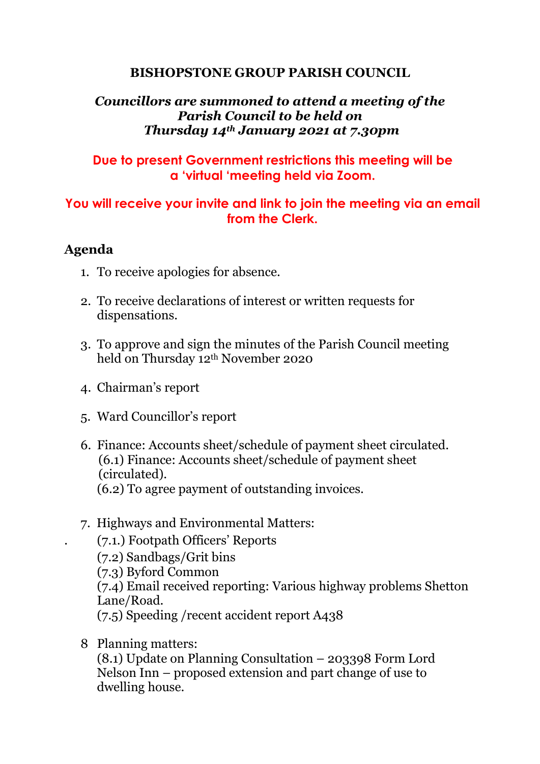## **BISHOPSTONE GROUP PARISH COUNCIL**

## *Councillors are summoned to attend a meeting of the Parish Council to be held on Thursday 14th January 2021 at 7.30pm*

## **Due to present Government restrictions this meeting will be a 'virtual 'meeting held via Zoom.**

# **You will receive your invite and link to join the meeting via an email from the Clerk.**

## **Agenda**

- 1. To receive apologies for absence.
- 2. To receive declarations of interest or written requests for dispensations.
- 3. To approve and sign the minutes of the Parish Council meeting held on Thursday 12th November 2020
- 4. Chairman's report
- 5. Ward Councillor's report
- 6. Finance: Accounts sheet/schedule of payment sheet circulated. (6.1) Finance: Accounts sheet/schedule of payment sheet (circulated). (6.2) To agree payment of outstanding invoices.
- 7. Highways and Environmental Matters:
	- . (7.1.) Footpath Officers' Reports
	- (7.2) Sandbags/Grit bins
	- (7.3) Byford Common
	- (7.4) Email received reporting: Various highway problems Shetton Lane/Road.
	- (7.5) Speeding /recent accident report A438
- 8 Planning matters:

(8.1) Update on Planning Consultation – 203398 Form Lord Nelson Inn – proposed extension and part change of use to dwelling house.